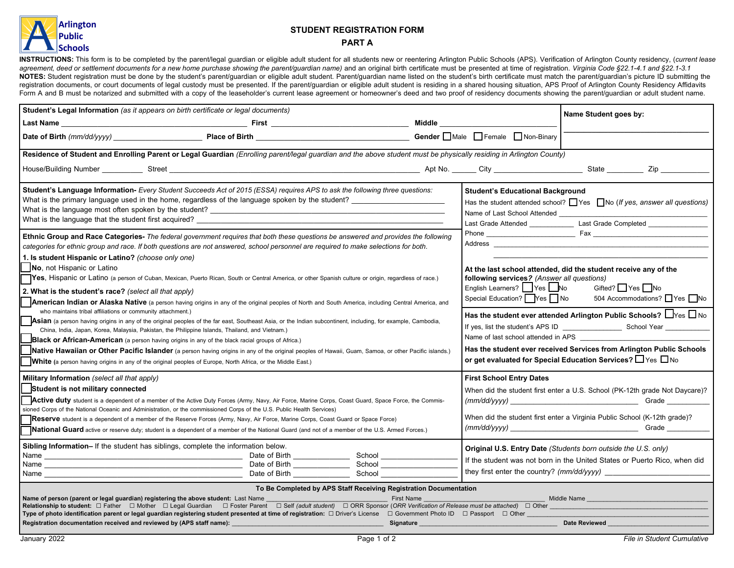

## **STUDENT REGISTRATION FORM**

## **PART A**

INSTRUCTIONS: This form is to be completed by the parent/legal guardian or eligible adult student for all students new or reentering Arlington Public Schools (APS). Verification of Arlington County residency, (current leas agreement, deed or settlement documents for a new home purchase showing the parent/guardian name) and an original birth certificate must be presented at time of registration. Virginia Code §22.1-4.1 and §22.1-3.1 NOTES: Student registration must be done by the student's parent/guardian or eligible adult student. Parent/guardian name listed on the student's birth certificate must match the parent/guardian's picture ID submitting the registration documents, or court documents of legal custody must be presented. If the parent/guardian or eligible adult student is residing in a shared housing situation, APS Proof of Arlington County Residency Affidavits Form A and B must be notarized and submitted with a copy of the leaseholder's current lease agreement or homeowner's deed and two proof of residency documents showing the parent/guardian or adult student name.

| Student's Legal Information (as it appears on birth certificate or legal documents)                                                                                                                                                                                                                                                                                                                                                              | Name Student goes by:                                                                                                                                                                                                                                                                                                                                                                                                                                                                                                                                                                                                                                                                                                                                                                                                                                                                                                                                                                                                                                                                                                                                                                                                                                                                                                                                                                                                                                                                       |  |                                                                                                                                                                                                     |                                                                                                                                                                                                                                                                                                                                                                                                                                                                                                                                  |
|--------------------------------------------------------------------------------------------------------------------------------------------------------------------------------------------------------------------------------------------------------------------------------------------------------------------------------------------------------------------------------------------------------------------------------------------------|---------------------------------------------------------------------------------------------------------------------------------------------------------------------------------------------------------------------------------------------------------------------------------------------------------------------------------------------------------------------------------------------------------------------------------------------------------------------------------------------------------------------------------------------------------------------------------------------------------------------------------------------------------------------------------------------------------------------------------------------------------------------------------------------------------------------------------------------------------------------------------------------------------------------------------------------------------------------------------------------------------------------------------------------------------------------------------------------------------------------------------------------------------------------------------------------------------------------------------------------------------------------------------------------------------------------------------------------------------------------------------------------------------------------------------------------------------------------------------------------|--|-----------------------------------------------------------------------------------------------------------------------------------------------------------------------------------------------------|----------------------------------------------------------------------------------------------------------------------------------------------------------------------------------------------------------------------------------------------------------------------------------------------------------------------------------------------------------------------------------------------------------------------------------------------------------------------------------------------------------------------------------|
|                                                                                                                                                                                                                                                                                                                                                                                                                                                  |                                                                                                                                                                                                                                                                                                                                                                                                                                                                                                                                                                                                                                                                                                                                                                                                                                                                                                                                                                                                                                                                                                                                                                                                                                                                                                                                                                                                                                                                                             |  | Middle _________________                                                                                                                                                                            |                                                                                                                                                                                                                                                                                                                                                                                                                                                                                                                                  |
|                                                                                                                                                                                                                                                                                                                                                                                                                                                  | Date of Birth (mm/dd/yyyy) Place of Birth Place of Birth Place of Birth Place of Birth Place of Birth Place of Birth Place of Birth Place of Birth Place of Birth Place of Birth Place of Birth Place of Birth Place of Birth                                                                                                                                                                                                                                                                                                                                                                                                                                                                                                                                                                                                                                                                                                                                                                                                                                                                                                                                                                                                                                                                                                                                                                                                                                                               |  | Gender Male Female Non-Binary                                                                                                                                                                       |                                                                                                                                                                                                                                                                                                                                                                                                                                                                                                                                  |
|                                                                                                                                                                                                                                                                                                                                                                                                                                                  | Residence of Student and Enrolling Parent or Legal Guardian (Enrolling parent/legal guardian and the above student must be physically residing in Arlington County)                                                                                                                                                                                                                                                                                                                                                                                                                                                                                                                                                                                                                                                                                                                                                                                                                                                                                                                                                                                                                                                                                                                                                                                                                                                                                                                         |  |                                                                                                                                                                                                     |                                                                                                                                                                                                                                                                                                                                                                                                                                                                                                                                  |
|                                                                                                                                                                                                                                                                                                                                                                                                                                                  | House/Building Number Street Street Street Communication of the Street Street Street Street Street Street Street Street Street Street Street Street Street Street Street Street Street Street Street Street Street Street Stre                                                                                                                                                                                                                                                                                                                                                                                                                                                                                                                                                                                                                                                                                                                                                                                                                                                                                                                                                                                                                                                                                                                                                                                                                                                              |  |                                                                                                                                                                                                     |                                                                                                                                                                                                                                                                                                                                                                                                                                                                                                                                  |
| 1. Is student Hispanic or Latino? (choose only one)<br>No, not Hispanic or Latino<br>2. What is the student's race? (select all that apply)<br>who maintains tribal affiliations or community attachment.)                                                                                                                                                                                                                                       | Student's Language Information- Every Student Succeeds Act of 2015 (ESSA) requires APS to ask the following three questions:<br>What is the primary language used in the home, regardless of the language spoken by the student?<br>Ethnic Group and Race Categories- The federal government requires that both these questions be answered and provides the following<br>categories for ethnic group and race. If both questions are not answered, school personnel are required to make selections for both.<br>TYes, Hispanic or Latino (a person of Cuban, Mexican, Puerto Rican, South or Central America, or other Spanish culture or origin, regardless of race.)<br>American Indian or Alaska Native (a person having origins in any of the original peoples of North and South America, including Central America, and<br>Asian (a person having origins in any of the original peoples of the far east, Southeast Asia, or the Indian subcontinent, including, for example, Cambodia,<br>China, India, Japan, Korea, Malaysia, Pakistan, the Philippine Islands, Thailand, and Vietnam.)<br><b>Black or African-American</b> (a person having origins in any of the black racial groups of Africa.)<br>Native Hawaiian or Other Pacific Islander (a person having origins in any of the original peoples of Hawaii, Guam, Samoa, or other Pacific islands.)<br><b>White</b> (a person having origins in any of the original peoples of Europe, North Africa, or the Middle East.) |  | <b>Student's Educational Background</b><br>following services? (Answer all questions)<br>English Learners? Yes No<br>Special Education? Yes No<br>Name of last school attended in APS _____________ | Has the student attended school? $\Box$ Yes $\Box$ No (If yes, answer all questions)<br>Last Grade Attended ________________________Last Grade Completed _______________<br>At the last school attended, did the student receive any of the<br>Gifted? Yes No<br>504 Accommodations? □ Yes □ No<br>Has the student ever attended Arlington Public Schools? $\Box$ Yes $\Box$ No<br>Has the student ever received Services from Arlington Public Schools<br>or get evaluated for Special Education Services? $\Box$ Yes $\Box$ No |
| Military Information (select all that apply)<br>Student is not military connected<br>Sibling Information- If the student has siblings, complete the information below.                                                                                                                                                                                                                                                                           | Active duty student is a dependent of a member of the Active Duty Forces (Army, Navy, Air Force, Marine Corps, Coast Guard, Space Force, the Commis-<br>sioned Corps of the National Oceanic and Administration, or the commissioned Corps of the U.S. Public Health Services)<br><b>Reserve</b> student is a dependent of a member of the Reserve Forces (Army, Navy, Air Force, Marine Corps, Coast Guard or Space Force)<br><b>National Guard</b> active or reserve duty; student is a dependent of a member of the National Guard (and not of a member of the U.S. Armed Forces.)                                                                                                                                                                                                                                                                                                                                                                                                                                                                                                                                                                                                                                                                                                                                                                                                                                                                                                       |  | <b>First School Entry Dates</b>                                                                                                                                                                     | When did the student first enter a U.S. School (PK-12th grade Not Daycare)?<br>When did the student first enter a Virginia Public School (K-12th grade)?<br>Original U.S. Entry Date (Students born outside the U.S. only)<br>If the student was not born in the United States or Puerto Rico, when did                                                                                                                                                                                                                          |
| <u> 1989 - Johann Stoff, deutscher Stoffen und der Stoffen und der Stoffen und der Stoffen und der Stoffen und der </u><br>To Be Completed by APS Staff Receiving Registration Documentation                                                                                                                                                                                                                                                     |                                                                                                                                                                                                                                                                                                                                                                                                                                                                                                                                                                                                                                                                                                                                                                                                                                                                                                                                                                                                                                                                                                                                                                                                                                                                                                                                                                                                                                                                                             |  |                                                                                                                                                                                                     |                                                                                                                                                                                                                                                                                                                                                                                                                                                                                                                                  |
| Middle Name and the control of the control of the control of the control of the control of the control of the<br>Type of photo identification parent or legal guardian registering student presented at time of registration: □ Driver's License □ Government Photo ID □ Passport □ Other<br>Registration documentation received and reviewed by (APS staff name): ________________<br><u>in the Signature Signature</u><br><b>Date Reviewed</b> |                                                                                                                                                                                                                                                                                                                                                                                                                                                                                                                                                                                                                                                                                                                                                                                                                                                                                                                                                                                                                                                                                                                                                                                                                                                                                                                                                                                                                                                                                             |  |                                                                                                                                                                                                     |                                                                                                                                                                                                                                                                                                                                                                                                                                                                                                                                  |